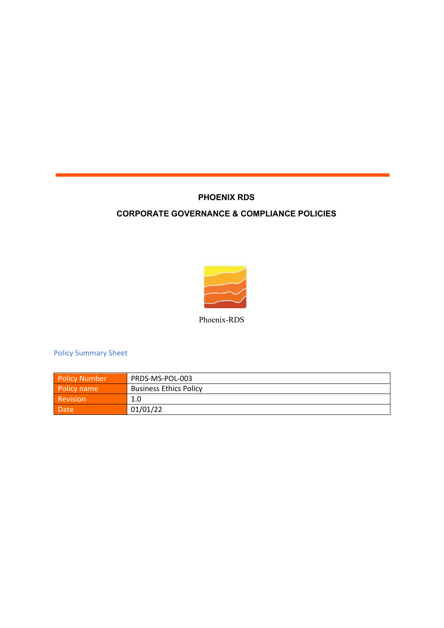## **PHOENIX RDS**

## **CORPORATE GOVERNANCE & COMPLIANCE POLICIES**



Phoenix-RDS

Policy Summary Sheet

| <b>Policy Number</b> | PRDS-MS-POL-003               |
|----------------------|-------------------------------|
| Policy name          | <b>Business Ethics Policy</b> |
| Revision             | 1.0                           |
| Date                 | 01/01/22                      |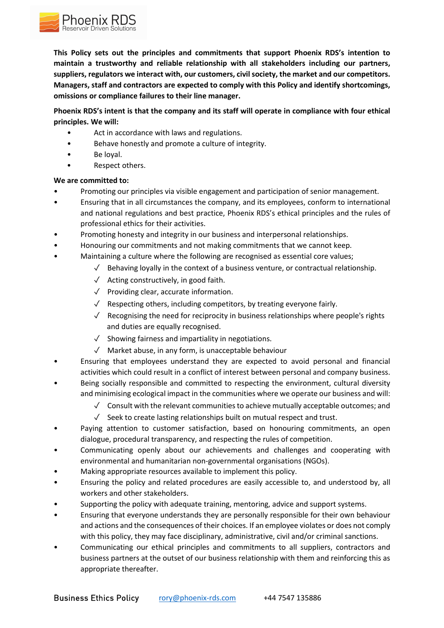

**This Policy sets out the principles and commitments that support Phoenix RDS's intention to maintain a trustworthy and reliable relationship with all stakeholders including our partners, suppliers, regulators we interact with, our customers, civil society, the market and our competitors. Managers, staff and contractors are expected to comply with this Policy and identify shortcomings, omissions or compliance failures to their line manager.** 

## **Phoenix RDS's intent is that the company and its staff will operate in compliance with four ethical principles. We will:**

- Act in accordance with laws and regulations.
- Behave honestly and promote a culture of integrity.
- Be loyal.
- Respect others.

## **We are committed to:**

- Promoting our principles via visible engagement and participation of senior management.
- Ensuring that in all circumstances the company, and its employees, conform to international and national regulations and best practice, Phoenix RDS's ethical principles and the rules of professional ethics for their activities.
- Promoting honesty and integrity in our business and interpersonal relationships.
- Honouring our commitments and not making commitments that we cannot keep.
- Maintaining a culture where the following are recognised as essential core values;
	- $\sqrt{\phantom{a}}$  Behaving loyally in the context of a business venture, or contractual relationship.
	- ✓ Acting constructively, in good faith.
	- ✓ Providing clear, accurate information.
	- $\sqrt{\phantom{a}}$  Respecting others, including competitors, by treating everyone fairly.
	- $\sqrt{\phantom{a}}$  Recognising the need for reciprocity in business relationships where people's rights and duties are equally recognised.
	- $\sqrt{\phantom{a}}$  Showing fairness and impartiality in negotiations.
	- ✓ Market abuse, in any form, is unacceptable behaviour
- Ensuring that employees understand they are expected to avoid personal and financial activities which could result in a conflict of interest between personal and company business.
- Being socially responsible and committed to respecting the environment, cultural diversity and minimising ecological impact in the communities where we operate our business and will:
	- $\sqrt{ }$  Consult with the relevant communities to achieve mutually acceptable outcomes; and
	- ✓ Seek to create lasting relationships built on mutual respect and trust.
- Paying attention to customer satisfaction, based on honouring commitments, an open dialogue, procedural transparency, and respecting the rules of competition.
- Communicating openly about our achievements and challenges and cooperating with environmental and humanitarian non-governmental organisations (NGOs).
- Making appropriate resources available to implement this policy.
- Ensuring the policy and related procedures are easily accessible to, and understood by, all workers and other stakeholders.
- Supporting the policy with adequate training, mentoring, advice and support systems.
- Ensuring that everyone understands they are personally responsible for their own behaviour and actions and the consequences of their choices. If an employee violates or does not comply with this policy, they may face disciplinary, administrative, civil and/or criminal sanctions.
- Communicating our ethical principles and commitments to all suppliers, contractors and business partners at the outset of our business relationship with them and reinforcing this as appropriate thereafter.